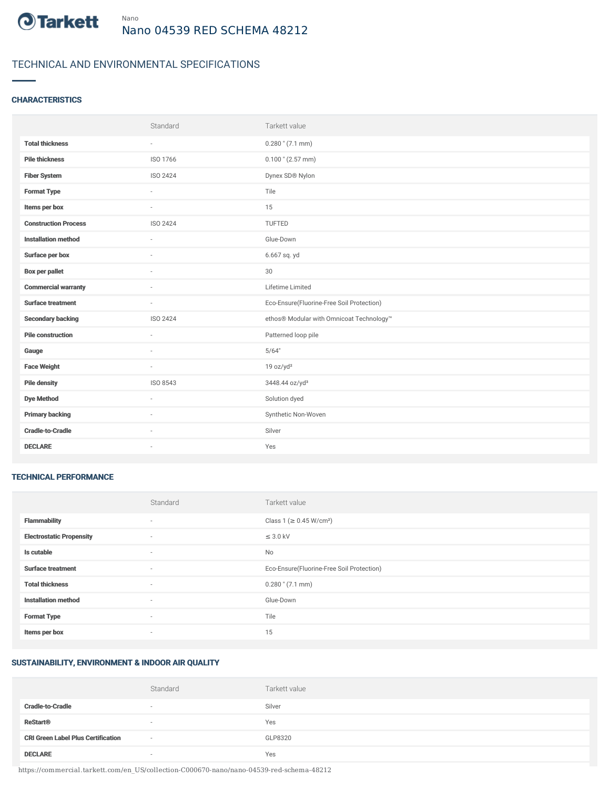

# TECHNICAL AND ENVIRONMENTAL SPECIFICATIONS

# **CHARACTERISTICS**

|                             | Standard                 | Tarkett value                             |
|-----------------------------|--------------------------|-------------------------------------------|
| <b>Total thickness</b>      | $\sim$                   | $0.280$ " (7.1 mm)                        |
| <b>Pile thickness</b>       | ISO 1766                 | $0.100$ " (2.57 mm)                       |
| <b>Fiber System</b>         | ISO 2424                 | Dynex SD® Nylon                           |
| <b>Format Type</b>          | ÷.                       | Tile                                      |
| Items per box               | $\sim$                   | 15                                        |
| <b>Construction Process</b> | ISO 2424                 | TUFTED                                    |
| <b>Installation method</b>  | ×.                       | Glue-Down                                 |
| Surface per box             | $\sim$                   | 6.667 sq. yd                              |
| <b>Box per pallet</b>       | ä,                       | 30                                        |
| <b>Commercial warranty</b>  |                          | Lifetime Limited                          |
| <b>Surface treatment</b>    | $\sim$                   | Eco-Ensure(Fluorine-Free Soil Protection) |
| <b>Secondary backing</b>    | ISO 2424                 | ethos® Modular with Omnicoat Technology™  |
| <b>Pile construction</b>    | ×.                       | Patterned loop pile                       |
| Gauge                       |                          | 5/64"                                     |
| <b>Face Weight</b>          | $\overline{\phantom{a}}$ | 19 oz/yd <sup>2</sup>                     |
| <b>Pile density</b>         | ISO 8543                 | 3448.44 oz/yd <sup>3</sup>                |
| <b>Dye Method</b>           | $\sim$                   | Solution dyed                             |
| <b>Primary backing</b>      |                          | Synthetic Non-Woven                       |
| <b>Cradle-to-Cradle</b>     | $\sim$                   | Silver                                    |
| <b>DECLARE</b>              | ٠                        | Yes                                       |

#### TECHNICAL PERFORMANCE

|                                 | Standard                 | Tarkett value                             |
|---------------------------------|--------------------------|-------------------------------------------|
| <b>Flammability</b>             | $\overline{\phantom{a}}$ | Class 1 (≥ 0.45 W/cm <sup>2</sup> )       |
| <b>Electrostatic Propensity</b> | $\overline{\phantom{a}}$ | $\leq$ 3.0 kV                             |
| Is cutable                      | $\sim$                   | No                                        |
| <b>Surface treatment</b>        | $\sim$                   | Eco-Ensure(Fluorine-Free Soil Protection) |
| <b>Total thickness</b>          | $\sim$                   | $0.280$ " (7.1 mm)                        |
| <b>Installation method</b>      | $\sim$                   | Glue-Down                                 |
| <b>Format Type</b>              | $\sim$                   | Tile                                      |
| Items per box                   | $\sim$                   | 15                                        |

### SUSTAINABILITY, ENVIRONMENT & INDOOR AIR QUALITY

|                                           | Standard | Tarkett value |
|-------------------------------------------|----------|---------------|
| <b>Cradle-to-Cradle</b>                   |          | Silver        |
| <b>ReStart<sup>®</sup></b>                | $\sim$   | Yes           |
| <b>CRI Green Label Plus Certification</b> | $\sim$   | GLP8320       |
| <b>DECLARE</b>                            |          | Yes           |

https://commercial.tarkett.com/en\_US/collection-C000670-nano/nano-04539-red-schema-48212